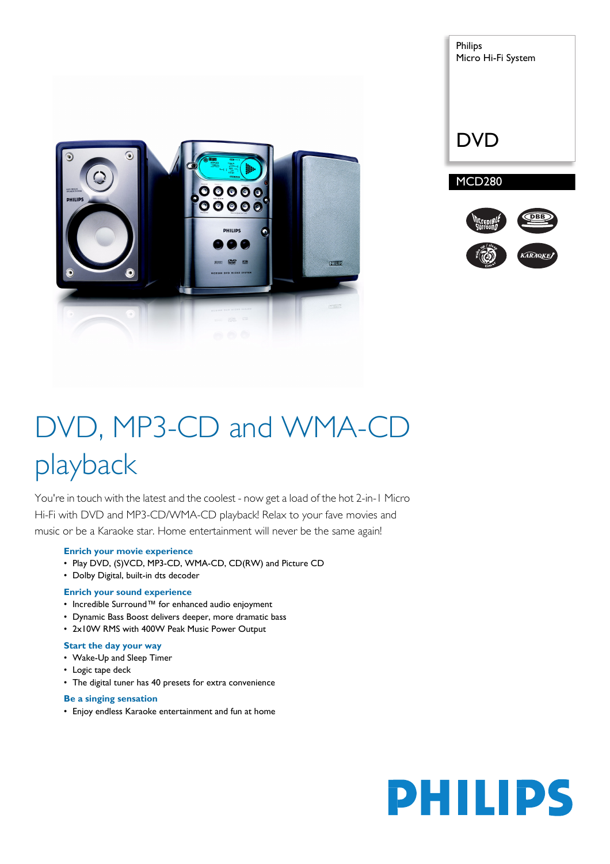



# DVD, MP3-CD and WMA-CD playback

You're in touch with the latest and the coolest - now get a load of the hot 2-in-1 Micro Hi-Fi with DVD and MP3-CD/WMA-CD playback! Relax to your fave movies and music or be a Karaoke star. Home entertainment will never be the same again!

#### **Enrich your movie experience**

- Play DVD, (S)VCD, MP3-CD, WMA-CD, CD(RW) and Picture CD
- Dolby Digital, built-in dts decoder

#### **Enrich your sound experience**

- Incredible Surround™ for enhanced audio enjoyment
- Dynamic Bass Boost delivers deeper, more dramatic bass
- 2x10W RMS with 400W Peak Music Power Output

# **Start the day your way**

- Wake-Up and Sleep Timer
- Logic tape deck
- The digital tuner has 40 presets for extra convenience

#### **Be a singing sensation**

• Enjoy endless Karaoke entertainment and fun at home